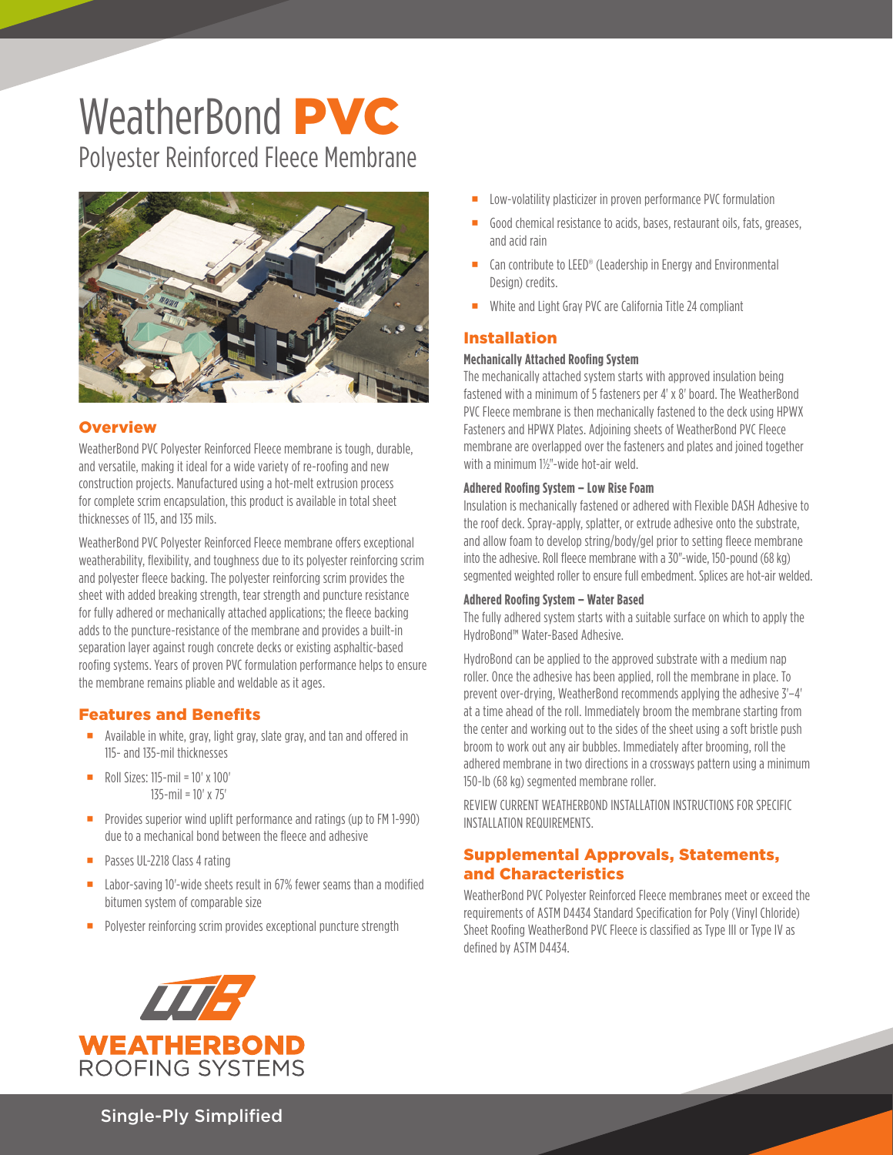# WeatherBond **PVC** Polyester Reinforced Fleece Membrane



#### **Overview**

WeatherBond PVC Polyester Reinforced Fleece membrane is tough, durable, and versatile, making it ideal for a wide variety of re-roofing and new construction projects. Manufactured using a hot-melt extrusion process for complete scrim encapsulation, this product is available in total sheet thicknesses of 115, and 135 mils.

WeatherBond PVC Polyester Reinforced Fleece membrane offers exceptional weatherability, flexibility, and toughness due to its polyester reinforcing scrim and polyester fleece backing. The polyester reinforcing scrim provides the sheet with added breaking strength, tear strength and puncture resistance for fully adhered or mechanically attached applications; the fleece backing adds to the puncture-resistance of the membrane and provides a built-in separation layer against rough concrete decks or existing asphaltic-based roofing systems. Years of proven PVC formulation performance helps to ensure the membrane remains pliable and weldable as it ages.

#### Features and Benefits

- **Available in white, gray, light gray, slate gray, and tan and offered in** 115- and 135-mil thicknesses
- Roll Sizes:  $115$ -mil =  $10' \times 100'$ 135-mil = 10' x 75'
- **Provides superior wind uplift performance and ratings (up to FM 1-990)** due to a mechanical bond between the fleece and adhesive
- **Passes UL-2218 Class 4 rating**
- Labor-saving 10'-wide sheets result in 67% fewer seams than a modified bitumen system of comparable size
- **Polyester reinforcing scrim provides exceptional puncture strength**
- Low-volatility plasticizer in proven performance PVC formulation
- Good chemical resistance to acids, bases, restaurant oils, fats, greases, and acid rain
- Can contribute to LEED® (Leadership in Energy and Environmental Design) credits.
- White and Light Gray PVC are California Title 24 compliant

# Installation

#### **Mechanically Attached Roofing System**

The mechanically attached system starts with approved insulation being fastened with a minimum of 5 fasteners per 4' x 8' board. The WeatherBond PVC Fleece membrane is then mechanically fastened to the deck using HPWX Fasteners and HPWX Plates. Adjoining sheets of WeatherBond PVC Fleece membrane are overlapped over the fasteners and plates and joined together with a minimum 1½"-wide hot-air weld.

### **Adhered Roofing System – Low Rise Foam**

Insulation is mechanically fastened or adhered with Flexible DASH Adhesive to the roof deck. Spray-apply, splatter, or extrude adhesive onto the substrate, and allow foam to develop string/body/gel prior to setting fleece membrane into the adhesive. Roll fleece membrane with a 30"-wide, 150-pound (68 kg) segmented weighted roller to ensure full embedment. Splices are hot-air welded.

#### **Adhered Roofing System – Water Based**

The fully adhered system starts with a suitable surface on which to apply the HydroBond™ Water-Based Adhesive.

HydroBond can be applied to the approved substrate with a medium nap roller. Once the adhesive has been applied, roll the membrane in place. To prevent over-drying, WeatherBond recommends applying the adhesive 3'–4' at a time ahead of the roll. Immediately broom the membrane starting from the center and working out to the sides of the sheet using a soft bristle push broom to work out any air bubbles. Immediately after brooming, roll the adhered membrane in two directions in a crossways pattern using a minimum 150-lb (68 kg) segmented membrane roller.

REVIEW CURRENT WEATHERBOND INSTALLATION INSTRUCTIONS FOR SPECIFIC INSTALLATION REQUIREMENTS.

# Supplemental Approvals, Statements, and Characteristics

WeatherBond PVC Polyester Reinforced Fleece membranes meet or exceed the requirements of ASTM D4434 Standard Specification for Poly (Vinyl Chloride) Sheet Roofing WeatherBond PVC Fleece is classified as Type III or Type IV as defined by ASTM D4434.



Single-Ply Simplified